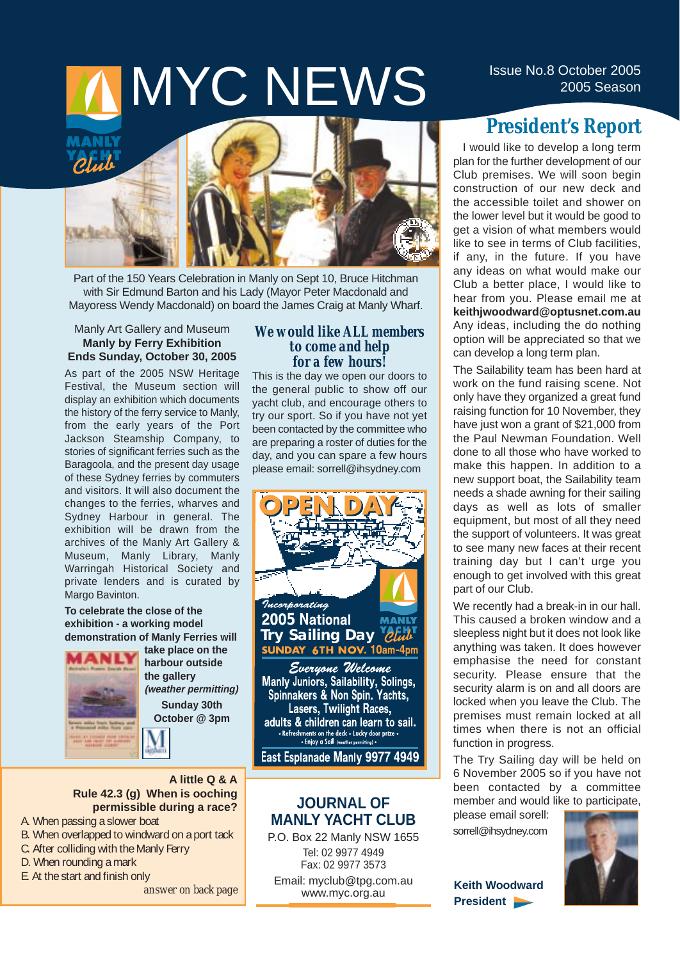# IMYCNEWS<sup>ISSUE No.8 October 2005</sup>





Part of the 150 Years Celebration in Manly on Sept 10, Bruce Hitchman with Sir Edmund Barton and his Lady (Mayor Peter Macdonald and Mayoress Wendy Macdonald) on board the James Craig at Manly Wharf.

### Manly Art Gallery and Museum **Manly by Ferry Exhibition Ends Sunday, October 30, 2005**

As part of the 2005 NSW Heritage Festival, the Museum section will display an exhibition which documents the history of the ferry service to Manly, from the early years of the Port Jackson Steamship Company, to stories of significant ferries such as the Baragoola, and the present day usage of these Sydney ferries by commuters and visitors. It will also document the changes to the ferries, wharves and Sydney Harbour in general. The exhibition will be drawn from the archives of the Manly Art Gallery & Museum, Manly Library, Manly Warringah Historical Society and private lenders and is curated by Margo Bavinton.

### **To celebrate the close of the exhibition - a working model demonstration of Manly Ferries will**



**take place on the harbour outside the gallery (weather permitting) Sunday 30th October @ 3pm**

### **A little Q & A Rule 42.3 (g) When is ooching permissible during a race?**

- A. When passing a slower boat
- B. When overlapped to windward on a port tack
- C. After colliding with the Manly Ferry
- D. When rounding a mark
- E. At the start and finish only

*answer on back page*

### *We would like ALL members to come and help for a few hours!*

This is the day we open our doors to the general public to show off our yacht club, and encourage others to try our sport. So if you have not yet been contacted by the committee who are preparing a roster of duties for the day, and you can spare a few hours please email: sorrell@ihsydney.com



adults & children can learn to sail. Refreshments on the deck . Lucky door prize .<br>• Enjoy a Sail (weather permitting) .

East Esplanade Manly 9977 4949

### **JOURNAL OF MANLY YACHT CLUB**

P.O. Box 22 Manly NSW 1655 Tel: 02 9977 4949 Fax: 02 9977 3573

Email: myclub@tpg.com.au www.myc.org.au

### **President's Report**

I would like to develop a long term plan for the further development of our Club premises. We will soon begin construction of our new deck and the accessible toilet and shower on the lower level but it would be good to get a vision of what members would like to see in terms of Club facilities, if any, in the future. If you have any ideas on what would make our Club a better place, I would like to hear from you. Please email me at **keithjwoodward@optusnet.com.au** Any ideas, including the do nothing option will be appreciated so that we can develop a long term plan.

The Sailability team has been hard at work on the fund raising scene. Not only have they organized a great fund raising function for 10 November, they have just won a grant of \$21,000 from the Paul Newman Foundation. Well done to all those who have worked to make this happen. In addition to a new support boat, the Sailability team needs a shade awning for their sailing days as well as lots of smaller equipment, but most of all they need the support of volunteers. It was great to see many new faces at their recent training day but I can't urge you enough to get involved with this great part of our Club.

We recently had a break-in in our hall. This caused a broken window and a sleepless night but it does not look like anything was taken. It does however emphasise the need for constant security. Please ensure that the security alarm is on and all doors are locked when you leave the Club. The premises must remain locked at all times when there is not an official function in progress.

The Try Sailing day will be held on 6 November 2005 so if you have not been contacted by a committee member and would like to participate,

please email sorell: sorrell@ihsydney.com

**Keith Woodward President** 

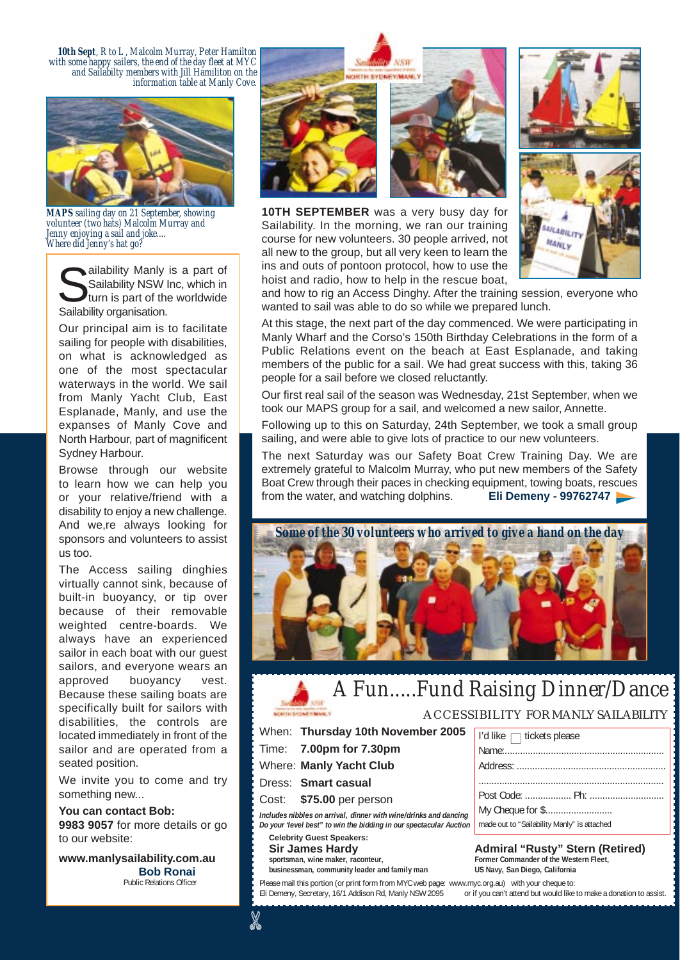*10th Sept, R to L , Malcolm Murray, Peter Hamilton with some happy sailers, the end of the day fleet at MYC and Sailabilty members with Jill Hamiliton on the information table at Manly Cove.* 



*MAPS sailing day on 21 September, showing volunteer (two hats) Malcolm Murray and Jenny enjoying a sail and joke.... Where did Jenny's hat go?*

ailability Manly is a part of Sailability NSW Inc, which in turn is part of the worldwide Sailability organisation.

Our principal aim is to facilitate sailing for people with disabilities, on what is acknowledged as one of the most spectacular waterways in the world. We sail from Manly Yacht Club, East Esplanade, Manly, and use the expanses of Manly Cove and North Harbour, part of magnificent Sydney Harbour.

Browse through our website to learn how we can help you or your relative/friend with a disability to enjoy a new challenge. And we, re always looking for sponsors and volunteers to assist us too.

The Access sailing dinghies virtually cannot sink, because of built-in buoyancy, or tip over because of their removable weighted centre-boards. We always have an experienced sailor in each boat with our guest sailors, and everyone wears an approved buoyancy vest. Because these sailing boats are specifically built for sailors with disabilities, the controls are located immediately in front of the sailor and are operated from a seated position.

We invite you to come and try something new...

### **You can contact Bob:**

**9983 9057** for more details or go to our website:

**www.manlysailability.com.au Bob Ronai** Public Relations Officer

**10TH SEPTEMBER** was a very busy day for Sailability. In the morning, we ran our training course for new volunteers. 30 people arrived, not all new to the group, but all very keen to learn the ins and outs of pontoon protocol, how to use the hoist and radio, how to help in the rescue boat,





and how to rig an Access Dinghy. After the training session, everyone who wanted to sail was able to do so while we prepared lunch.

At this stage, the next part of the day commenced. We were participating in Manly Wharf and the Corso's 150th Birthday Celebrations in the form of a Public Relations event on the beach at East Esplanade, and taking members of the public for a sail. We had great success with this, taking 36 people for a sail before we closed reluctantly.

Our first real sail of the season was Wednesday, 21st September, when we took our MAPS group for a sail, and welcomed a new sailor, Annette.

Following up to this on Saturday, 24th September, we took a small group sailing, and were able to give lots of practice to our new volunteers.

The next Saturday was our Safety Boat Crew Training Day. We are extremely grateful to Malcolm Murray, who put new members of the Safety Boat Crew through their paces in checking equipment, towing boats, rescues from the water, and watching dolphins. **Eli Demeny - 99762747** 



### *A Fun.....Fund Raising Dinner/Dance*

### ACCESSIBILITY FOR MANLY SAILABILITY

When: **Thursday 10th November 2005** Time: **7.00pm for 7.30pm**

Where: **Manly Yacht Club**

Dress: **Smart casual**

Cost: **\$75.00** per person

*Includes nibbles on arrival, dinner with wine/drinks and dancing Do your "level best" to win the bidding in our spectacular Auction*

**Celebrity Guest Speakers:** businessman, community leader and family man

 $\lambda$ 

Please mail this portion (or print form from MYC web page: www.myc.org.au) with your cheque to: Eli Demeny, Secretary, 16/1 Addison Rd, Manly NSW 2095 or if you can't attend but would like to make a donation to assist.

| l'd like □ tickets please                   |
|---------------------------------------------|
|                                             |
|                                             |
|                                             |
|                                             |
| My Cheque for \$                            |
| made out to "Sailability Manly" is attached |

Sir James Hardy **Admiral "Rusty" Stern (Retired)** sportsman, wine maker, raconteur, sportsman, wine maker, raconteur, and the mass of the Western Fleet, sports and family man and the Messines of Nulle and Fleet, and the Messines of Nulle and family man and the Western Fle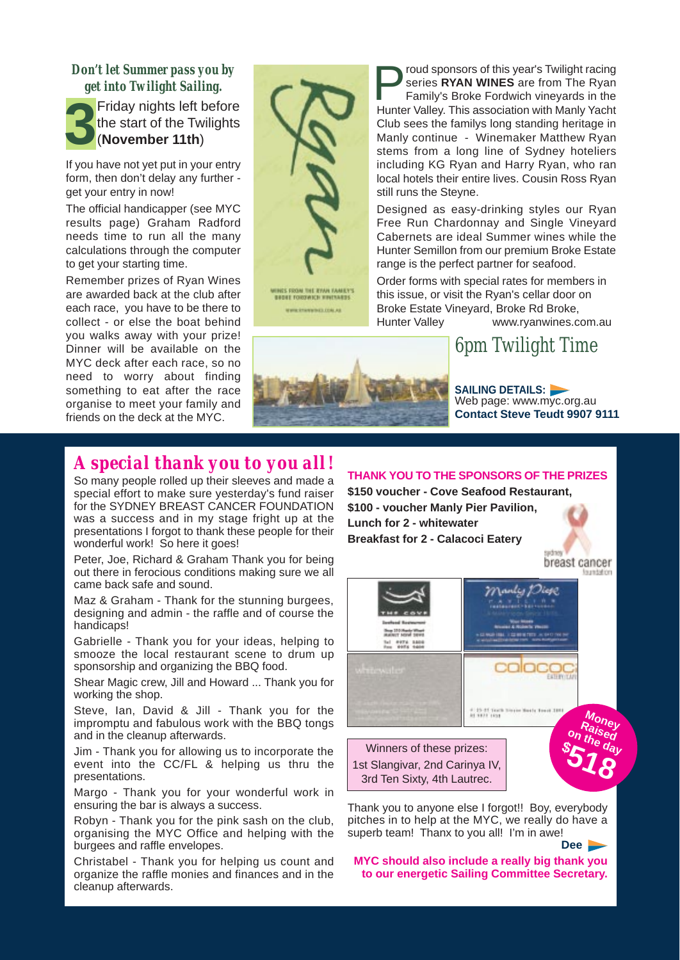### *Don't let Summer pass you by get into Twilight Sailing.*

**3** Friday nights left before the start of the Twilights (**November 11th**)

If you have not yet put in your entry form, then don't delay any further get your entry in now!

The official handicapper (see MYC results page) Graham Radford needs time to run all the many calculations through the computer to get your starting time.

Remember prizes of Ryan Wines are awarded back at the club after each race, you have to be there to collect - or else the boat behind you walks away with your prize! Dinner will be available on the MYC deck after each race, so no need to worry about finding something to eat after the race organise to meet your family and friends on the deck at the MYC.



WWW.ETANWINEZ.COM.AB

roud sponsors of this year's Twilight racing series **RYAN WINES** are from The Ryan Family's Broke Fordwich vineyards in the Hunter Valley. This association with Manly Yacht Club sees the familys long standing heritage in Manly continue - Winemaker Matthew Ryan stems from a long line of Sydney hoteliers including KG Ryan and Harry Ryan, who ran local hotels their entire lives. Cousin Ross Ryan still runs the Steyne.

Designed as easy-drinking styles our Ryan Free Run Chardonnay and Single Vineyard Cabernets are ideal Summer wines while the Hunter Semillon from our premium Broke Estate range is the perfect partner for seafood.

Order forms with special rates for members in this issue, or visit the Ryan's cellar door on Broke Estate Vineyard, Broke Rd Broke, Hunter Valley www.ryanwines.com.au

### *6pm Twilight Time*



**SAILING DETAILS:**  Web page: www.myc.org.au **Contact Steve Teudt 9907 9111** 

### *A special thank you to you all!*

So many people rolled up their sleeves and made a special effort to make sure yesterday's fund raiser for the SYDNEY BREAST CANCER FOUNDATION was a success and in my stage fright up at the presentations I forgot to thank these people for their wonderful work! So here it goes!

Peter, Joe, Richard & Graham Thank you for being out there in ferocious conditions making sure we all came back safe and sound.

Maz & Graham - Thank for the stunning burgees, designing and admin - the raffle and of course the handicaps!

Gabrielle - Thank you for your ideas, helping to smooze the local restaurant scene to drum up sponsorship and organizing the BBQ food.

Shear Magic crew, Jill and Howard ... Thank you for working the shop.

Steve, Ian, David & Jill - Thank you for the impromptu and fabulous work with the BBQ tongs and in the cleanup afterwards.

Jim - Thank you for allowing us to incorporate the event into the CC/FL & helping us thru the presentations.

Margo - Thank you for your wonderful work in ensuring the bar is always a success.

Robyn - Thank you for the pink sash on the club, organising the MYC Office and helping with the burgees and raffle envelopes.

Christabel - Thank you for helping us count and organize the raffle monies and finances and in the cleanup afterwards.

**THANK YOU TO THE SPONSORS OF THE PRIZES \$150 voucher - Cove Seafood Restaurant,** 

**\$100 - voucher Manly Pier Pavilion, Lunch for 2 - whitewater Breakfast for 2 - Calacoci Eatery**





Thank you to anyone else I forgot!! Boy, everybody pitches in to help at the MYC, we really do have a superb team! Thanx to you all! I'm in awe! **Dee**

**MYC should also include a really big thank you to our energetic Sailing Committee Secretary.**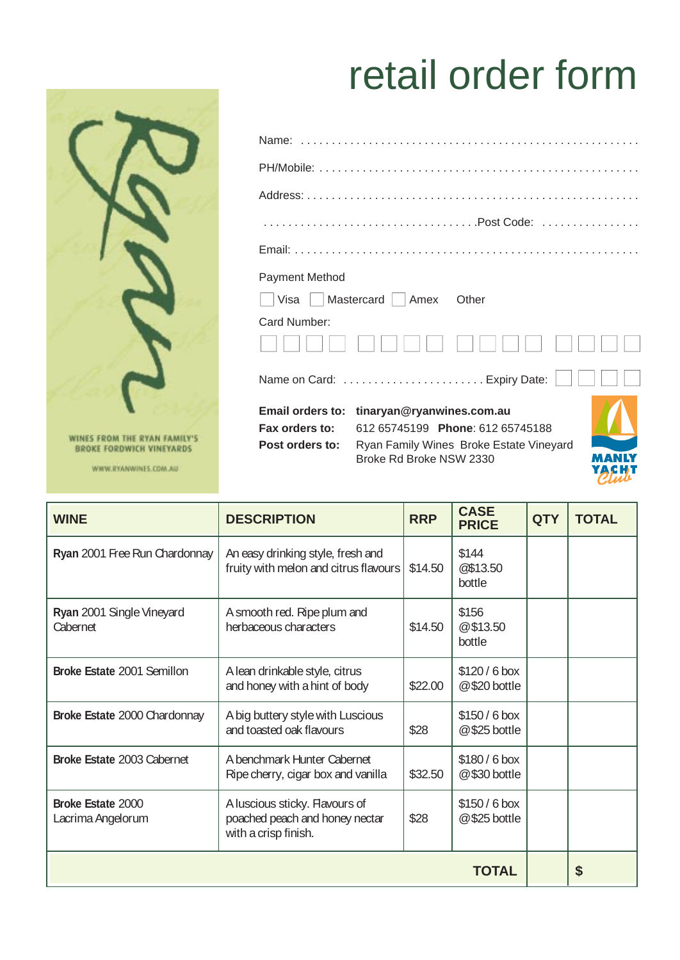## retail order form



WINES FROM THE RYAN FAMILY'S<br>BROKE FORDWICH VINEYARDS

WWW.RYANWINES.COM.AU

| Payment Method                                               |                                                                                                                                     |  |
|--------------------------------------------------------------|-------------------------------------------------------------------------------------------------------------------------------------|--|
| $\Box$ Visa $\Box$ Mastercard $\Box$ Amex                    | Other                                                                                                                               |  |
| Card Number:                                                 |                                                                                                                                     |  |
|                                                              | Name on Card:  Expiry Date:                                                                                                         |  |
| <b>Email orders to:</b><br>Fax orders to:<br>Post orders to: | tinaryan@ryanwines.com.au<br>612 65745199 Phone: 612 65745188<br>Ryan Family Wines Broke Estate Vineyard<br>Broke Rd Broke NSW 2330 |  |

| <b>WINE</b>                            | <b>DESCRIPTION</b>                                                                       | <b>RRP</b> | <b>CASE</b><br><b>PRICE</b>    | <b>QTY</b> | <b>TOTAL</b> |
|----------------------------------------|------------------------------------------------------------------------------------------|------------|--------------------------------|------------|--------------|
| Ryan 2001 Free Run Chardonnay          | An easy drinking style, fresh and<br>fruity with melon and citrus flavours               | \$14.50    | \$144<br>@\$13.50<br>bottle    |            |              |
| Ryan 2001 Single Vineyard<br>Cabernet  | A smooth red. Ripe plum and<br>herbaceous characters                                     | \$14.50    | \$156<br>@\$13.50<br>bottle    |            |              |
| Broke Estate 2001 Semillon             | A lean drinkable style, citrus<br>and honey with a hint of body                          | \$22.00    | \$120/6 box<br>@ \$20 bottle   |            |              |
| Broke Estate 2000 Chardonnay           | A big buttery style with Luscious<br>and toasted oak flavours                            | \$28       | \$150/6 box<br>$@$ \$25 bottle |            |              |
| Broke Estate 2003 Cabernet             | A benchmark Hunter Cabernet<br>Ripe cherry, cigar box and vanilla                        | \$32.50    | \$180/6 box<br>@\$30 bottle    |            |              |
| Broke Estate 2000<br>Lacrima Angelorum | A luscious sticky. Flavours of<br>poached peach and honey nectar<br>with a crisp finish. | \$28       | \$150/6 box<br>$@$ \$25 bottle |            |              |
|                                        |                                                                                          |            | TOTAL                          |            | \$           |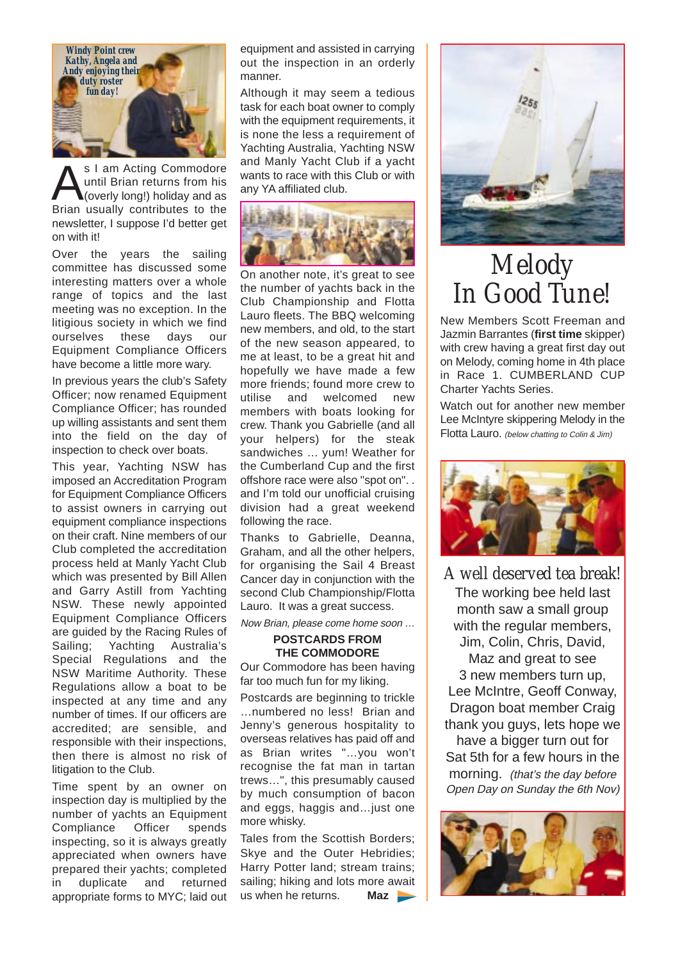

S I am Acting Commodore<br>
until Brian returns from his<br>
Prise usually contributes to the until Brian returns from his Brian usually contributes to the newsletter, I suppose I'd better get on with it!

Over the years the sailing committee has discussed some interesting matters over a whole range of topics and the last meeting was no exception. In the litigious society in which we find ourselves these days our Equipment Compliance Officers have become a little more wary.

In previous years the club's Safety Officer; now renamed Equipment Compliance Officer; has rounded up willing assistants and sent them into the field on the day of inspection to check over boats.

This year, Yachting NSW has imposed an Accreditation Program for Equipment Compliance Officers to assist owners in carrying out equipment compliance inspections on their craft. Nine members of our Club completed the accreditation process held at Manly Yacht Club which was presented by Bill Allen and Garry Astill from Yachting NSW. These newly appointed Equipment Compliance Officers are guided by the Racing Rules of Sailing; Yachting Australia's Special Regulations and the NSW Maritime Authority. These Regulations allow a boat to be inspected at any time and any number of times. If our officers are accredited; are sensible, and responsible with their inspections, then there is almost no risk of litigation to the Club.

Time spent by an owner on inspection day is multiplied by the number of yachts an Equipment Compliance Officer spends inspecting, so it is always greatly appreciated when owners have prepared their yachts; completed in duplicate and returned appropriate forms to MYC; laid out equipment and assisted in carrying out the inspection in an orderly manner.

Although it may seem a tedious task for each boat owner to comply with the equipment requirements, it is none the less a requirement of Yachting Australia, Yachting NSW and Manly Yacht Club if a yacht wants to race with this Club or with any YA affiliated club.



On another note, it's great to see the number of yachts back in the Club Championship and Flotta Lauro fleets. The BBQ welcoming new members, and old, to the start of the new season appeared, to me at least, to be a great hit and hopefully we have made a few more friends; found more crew to utilise and welcomed new members with boats looking for crew. Thank you Gabrielle (and all your helpers) for the steak sandwiches … yum! Weather for the Cumberland Cup and the first offshore race were also "spot on". . and I'm told our unofficial cruising division had a great weekend following the race.

Thanks to Gabrielle, Deanna, Graham, and all the other helpers, for organising the Sail 4 Breast Cancer day in conjunction with the second Club Championship/Flotta Lauro. It was a great success.

Now Brian, please come home soon …

### **POSTCARDS FROM THE COMMODORE**

Our Commodore has been having far too much fun for my liking.

Postcards are beginning to trickle …numbered no less! Brian and Jenny's generous hospitality to overseas relatives has paid off and as Brian writes "…you won't recognise the fat man in tartan trews…", this presumably caused by much consumption of bacon and eggs, haggis and…just one more whisky.

Tales from the Scottish Borders; Skye and the Outer Hebridies; Harry Potter land; stream trains; sailing; hiking and lots more await us when he returns. **Maz**



## *Melody In Good Tune!*

New Members Scott Freeman and Jazmin Barrantes (**first time** skipper) with crew having a great first day out on Melody, coming home in 4th place in Race 1. CUMBERLAND CUP Charter Yachts Series.

Watch out for another new member Lee McIntyre skippering Melody in the Flotta Lauro. (below chatting to Colin & Jim)



*A well deserved tea break!*  The working bee held last month saw a small group with the regular members, Jim, Colin, Chris, David, Maz and great to see 3 new members turn up, Lee McIntre, Geoff Conway, Dragon boat member Craig thank you guys, lets hope we have a bigger turn out for Sat 5th for a few hours in the morning. (that's the day before Open Day on Sunday the 6th Nov)

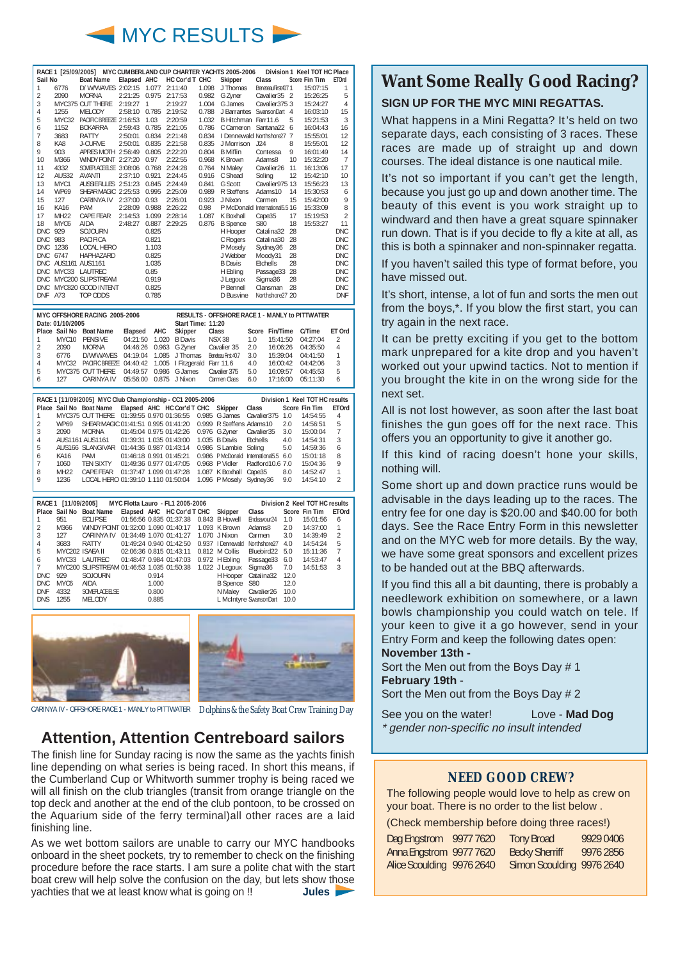

|                |             | RACE 1 [25/09/2005] MYC CUMBERLAND CUP CHARTER YACHTS 2005-2006 |             |       |                |       |                                |                    |                | Division 1 Keel TOT HC Place |                |
|----------------|-------------|-----------------------------------------------------------------|-------------|-------|----------------|-------|--------------------------------|--------------------|----------------|------------------------------|----------------|
| Sail No        |             | <b>Boat Name</b>                                                | Elapsed AHC |       | HC Cor'd T CHC |       | Skipper                        | Class              |                | <b>Score Fin Tim</b>         | <b>ETOrd</b>   |
| 1              | 6776        | D/ W/WAVES 2:02:15                                              |             | 1.077 | 2:11:40        | 1.098 | J Thomas                       | BeneteauFirst407 1 |                | 15:07:15                     | 1              |
| $\mathfrak{p}$ | 2090        | <b>MORNA</b>                                                    | 2:21:25     | 0.975 | 2:17:53        | 0.982 | G Zyner                        | Cavalier 35 2      |                | 15:26:25                     | 5              |
| 3              |             | MYC375 OUT THERE                                                | 2:19:27     | 1     | 2:19:27        | 1.004 | G James                        | Cavalier 375 3     |                | 15:24:27                     | 4              |
| 4              | 1255        | MFI ODY                                                         | 2:58:10     | 0.785 | 2:19:52        | 0.788 | J Barrantes                    | SwansonDart        | $\overline{4}$ | 16:03:10                     | 15             |
| 5              | MYC32       | PACIFIC BRFF7F                                                  | 2:16:53     | 1.03  | 2:20:59        | 1.032 | B Hitchman Farr11.6            |                    | 5              | 15:21:53                     | 3              |
| 6              | 1152        | <b>BOKARRA</b>                                                  | 2:59:43     | 0.785 | 2:21:05        | 0.786 | C Cameron                      | Santana22          | 6              | 16:04:43                     | 16             |
| $\overline{7}$ | 3683        | <b>RATTY</b>                                                    | 2:50:01     | 0.834 | 2:21:48        | 0.834 | I Dennewald Northshore27       |                    | $\overline{7}$ | 15:55:01                     | 12             |
| 8              | KA8         | J-CURVE                                                         | 2:50:01     | 0.835 | 2:21:58        | 0.835 | J Morrison                     | .124               | 8              | 15:55:01                     | 12             |
| 9              | 903         | <b>APRES MOTH</b>                                               | 2:56:49     | 0.805 | 2:22:20        | 0.804 | <b>B</b> Miflin                | Contessa           | 9              | 16:01:49                     | 14             |
| 10             | M366        | <b>WINDY POINT</b>                                              | 2:27:20     | 0.97  | 2:22:55        | 0.968 | K Brown                        | Adams8             | 10             | 15:32:20                     | $\overline{7}$ |
| 11             | 4332        | SOMEPLACE ELSE 3:08:06                                          |             | 0.768 | 2:24:28        | 0.764 | N Maley                        | Cavalier26         | 11             | 16:13:06                     | 17             |
| 12             | AUS32       | <b>AVANTI</b>                                                   | 2:37:10     | 0.921 | 2:24:45        | 0.916 | C Shead                        | Soling             | 12             | 15:42:10                     | 10             |
| 13             | MYC1        | <b>AUSSIE RULES</b>                                             | 2:51:23     | 0.845 | 2:24:49        | 0.841 | G Scott                        | Cavalier975 13     |                | 15:56:23                     | 13             |
| 14             | <b>WP69</b> | SHEAR MAGIC                                                     | 2:25:53     | 0.995 | 2:25:09        | 0.989 | R Steffens                     | Adams10            | 14             | 15:30:53                     | 6              |
| 15             | 127         | <b>CARINYA IV</b>                                               | 2:37:00     | 0.93  | 2:26:01        | 0.923 | J Nixon                        | Carmen             | 15             | 15:42:00                     | 9              |
| 16             | <b>KA16</b> | <b>PAM</b>                                                      | 2:28:09     | 0.988 | 2:26:22        | 0.98  | P McDonald International5.5 16 |                    |                | 15:33:09                     | 8              |
| 17             | <b>MH22</b> | CAPE FEAR                                                       | 2:14:53     | 1.099 | 2:28:14        | 1.087 | K Boxhall                      | Cape35             | 17             | 15:19:53                     | $\overline{2}$ |
| 18             | MYC6        | <b>AIDA</b>                                                     | 2:48:27     | 0.887 | 2:29:25        | 0.876 | <b>B</b> Spence                | S80                | 18             | 15:53:27                     | 11             |
| <b>DNC</b>     | 929         | SOJOURN                                                         |             | 0.825 |                |       | H Hooper                       | Catalina32         | 28             |                              | <b>DNC</b>     |
| DNC.           | 983         | PACIFICA                                                        |             | 0.821 |                |       | C Rogers                       | Catalina30         | 28             |                              | <b>DNC</b>     |
| <b>DNC</b>     | 1236        | <b>LOCAL HERO</b>                                               |             | 1.103 |                |       | P Moselv                       | Sydney36           | 28             |                              | <b>DNC</b>     |
| DNC.           | 6747        | HAPHA7ARD                                                       |             | 0.825 |                |       | J Webber                       | Moody31            | 28             |                              | <b>DNC</b>     |
| DNC.           | AUS1161     | AUS1161                                                         |             | 1.035 |                |       | <b>B</b> Davis                 | <b>Ftchells</b>    | 28             |                              | <b>DNC</b>     |
| DNC.           |             | MYC33 LAUTREC                                                   |             | 0.85  |                |       | H Ebling                       | Passage33          | 28             |                              | <b>DNC</b>     |
| <b>DNC</b>     |             | MYC200 SLIPSTREAM                                               |             | 0.919 |                |       | J Legoux                       | Sigma36            | 28             |                              | <b>DNC</b>     |
| <b>DNC</b>     |             | MYC820 GOOD INTENT                                              |             | 0.825 |                |       | P Bennell                      | Clansman           | 28             |                              | <b>DNC</b>     |
| <b>DNF</b>     | A73         | TOP ODDS                                                        |             | 0.785 |                |       | D Busvine                      | Northshore27 20    |                |                              | <b>DNF</b>     |

|                | MYC OFFSHORE RACING 2005-2006 |                                                                                  |  |  |                   | <b>RESULTS - OFFSHORE RACE 1 - MANLY to PITTWATER</b> |     |                       |          |                |
|----------------|-------------------------------|----------------------------------------------------------------------------------|--|--|-------------------|-------------------------------------------------------|-----|-----------------------|----------|----------------|
|                | Date: 01/10/2005              |                                                                                  |  |  | Start Time: 11:20 |                                                       |     |                       |          |                |
|                |                               | Place Sail No Boat Name                                                          |  |  |                   | Elapsed AHC Skipper Class                             |     | Score Fin/Time C/Time |          | ET Ord         |
| 11             |                               | MYC10 PENSIVE  04:21:50  1.020  B Davis  NSX  38  1.0                            |  |  |                   |                                                       |     | 15:41:50 04:27:04     |          | $\overline{2}$ |
| $\overline{2}$ |                               | 2090 MORNA  04:46:26  0.963  G Zyner  Cavalier  35  2.0  16:06:26  04:35:50      |  |  |                   |                                                       |     |                       |          | $\overline{4}$ |
| $\mathsf{L}$ 3 |                               | 6776 D/W/WAVES 04:19:04 1.085 J Thomas Beneteau First 40.7 3.0 15:39:04 04:41:50 |  |  |                   |                                                       |     |                       |          | $\overline{1}$ |
| $\overline{4}$ |                               | MYC32 PACIFIC BREEZE 04:40:42 1.005 I Fitzgerald Farr 11.6 4.0 16:00:42 04:42:06 |  |  |                   |                                                       |     |                       |          | - 3            |
| $\mathsf{L}5$  |                               | MYC375 OUT THERE  04:49:57  0.986  G James  Cavalier  375                        |  |  |                   |                                                       |     | 5.0 16:09:57          | 04:45:53 | 5              |
| I 6            |                               | 127 CARINYA IV 05:56:00 0.875 J Nixon Carmen Class                               |  |  |                   |                                                       | 6.0 | 17:16:00              | 05:11:30 | 6              |

| Place Sail No Boat Name Elapsed AHC HC Cor'd T CHC Skipper Class Score Fin Tim ETOrd<br>MYC375 OUT THERE 01:39:55 0.970 01:36:55 0.985 G James Cavalier375 1.0 14:54:55<br>4<br>$\mathfrak{D}$<br>WP69 SHEAR MAGIC 01:41:51 0.995 01:41:20 0.999 R Steffens Adams10 2.0 14:56:51<br>5<br>3<br>MORNA  01:45:04  0.975  01:42:26  0.976  G Zyner  Cavalier35  3.0  15:00:04<br>2090<br>$\overline{7}$<br>AUS1161 AUS1161  01:39:31  1.035  01:43:00  1.035  B Davis  Etchells  4.0<br>14:54:31<br>-3<br>4<br>AUS166 SLANGIVAR 01:44:36 0.987 01:43:14 0.986 S Lambie Soling 5.0 14:59:36<br>5<br>6<br>01:46:18 0.991 01:45:21 0.986 PMcDonald International5.5 6.0 15:01:18<br><b>PAM</b><br>8<br>KA16<br>6<br>TFN SIXTY<br>01:49:36 0.977 01:47:05 0.968 P Vidler Radford 10.6 7.0<br>15:04:36<br>1060<br>9<br>01:37:47 1.099 01:47:28  1.087 K Boxhall Cape 35  8.0  14:52:47<br>MH <sub>22</sub><br>CAPF FFAR |  | RACE 1 [11/09/2005] MYC Club Championship - CC1 2005-2006 |  |  |  | Division 1 Keel TOT HC results |  |
|----------------------------------------------------------------------------------------------------------------------------------------------------------------------------------------------------------------------------------------------------------------------------------------------------------------------------------------------------------------------------------------------------------------------------------------------------------------------------------------------------------------------------------------------------------------------------------------------------------------------------------------------------------------------------------------------------------------------------------------------------------------------------------------------------------------------------------------------------------------------------------------------------------------|--|-----------------------------------------------------------|--|--|--|--------------------------------|--|
|                                                                                                                                                                                                                                                                                                                                                                                                                                                                                                                                                                                                                                                                                                                                                                                                                                                                                                                |  |                                                           |  |  |  |                                |  |
|                                                                                                                                                                                                                                                                                                                                                                                                                                                                                                                                                                                                                                                                                                                                                                                                                                                                                                                |  |                                                           |  |  |  |                                |  |
|                                                                                                                                                                                                                                                                                                                                                                                                                                                                                                                                                                                                                                                                                                                                                                                                                                                                                                                |  |                                                           |  |  |  |                                |  |
|                                                                                                                                                                                                                                                                                                                                                                                                                                                                                                                                                                                                                                                                                                                                                                                                                                                                                                                |  |                                                           |  |  |  |                                |  |
|                                                                                                                                                                                                                                                                                                                                                                                                                                                                                                                                                                                                                                                                                                                                                                                                                                                                                                                |  |                                                           |  |  |  |                                |  |
|                                                                                                                                                                                                                                                                                                                                                                                                                                                                                                                                                                                                                                                                                                                                                                                                                                                                                                                |  |                                                           |  |  |  |                                |  |
|                                                                                                                                                                                                                                                                                                                                                                                                                                                                                                                                                                                                                                                                                                                                                                                                                                                                                                                |  |                                                           |  |  |  |                                |  |
|                                                                                                                                                                                                                                                                                                                                                                                                                                                                                                                                                                                                                                                                                                                                                                                                                                                                                                                |  |                                                           |  |  |  |                                |  |
|                                                                                                                                                                                                                                                                                                                                                                                                                                                                                                                                                                                                                                                                                                                                                                                                                                                                                                                |  |                                                           |  |  |  |                                |  |
| LOCAL HERO 01:39:10 1.110 01:50:04 1.096 P Mosely Sydney36 9.0<br>14:54:10<br>1236<br>$\mathcal{D}$                                                                                                                                                                                                                                                                                                                                                                                                                                                                                                                                                                                                                                                                                                                                                                                                            |  |                                                           |  |  |  |                                |  |

| RACE 1 [11/09/2005] MYC Flotta Lauro - FL1 2005-2006 |      |                                                                             |  |       |                                           |  |                                       | Division 2 Keel TOT HC results |     |                     |                |
|------------------------------------------------------|------|-----------------------------------------------------------------------------|--|-------|-------------------------------------------|--|---------------------------------------|--------------------------------|-----|---------------------|----------------|
|                                                      |      | Place Sail No Boat Name Elapsed AHC HC Cor'd T CHC Skipper                  |  |       |                                           |  |                                       | Class                          |     | Score Fin Tim ETOrd |                |
|                                                      | 951  | FCI IPSF                                                                    |  |       | 01:56:56 0.835 01:37:38 0.843 B Howell    |  |                                       | Fndeavour <sub>24</sub>        | 1.0 | 15:01:56            | 6              |
| $\mathfrak{D}$                                       | M366 | WINDY POINT 01:32:00 1.090 01:40:17 1.093 K Brown                           |  |       |                                           |  |                                       | Adams8 2.0                     |     | 14:37:00            | $\overline{1}$ |
| 3                                                    |      | 127 CARINYA IV                                                              |  |       |                                           |  | 01:34:49 1.070 01:41:27 1.070 J Nixon | Carmen 3.0 14:39:49            |     |                     | $\overline{2}$ |
| 4                                                    | 3683 | <b>RATTY</b>                                                                |  |       | 01:49:24 0.940 01:42:50 0.937   Dennewald |  |                                       | Northshore27 4.0 14:54:24      |     |                     | 5              |
| 5                                                    |      | MYC202 ISAEA II   02:06:36 0.815 01:43:11  0.812 M Collis                   |  |       |                                           |  |                                       | Bluebird22 5.0 15:11:36        |     |                     | $\overline{7}$ |
| 6                                                    |      | MYC33 LAUTREC 01:48:47 0.984 01:47:03 0.972 H Ebling Passage33 6.0 14:53:47 |  |       |                                           |  |                                       |                                |     |                     | 4              |
| $\cdot$ 7                                            |      | MYC200 SLIPSTREAM 01:46:53 1.035 01:50:38 1.022 J Legoux                    |  |       |                                           |  |                                       | Sigma36 7.0 14:51:53           |     |                     | 3              |
| DNC.                                                 |      | 929 SOJOURN                                                                 |  | 0.914 |                                           |  |                                       | H Hooper Catalina32 12.0       |     |                     |                |
| DNC.                                                 | MYC6 | AIDA                                                                        |  | 1.000 |                                           |  |                                       | B Spence S80 12.0              |     |                     |                |
| <b>DNF</b>                                           |      | 4332 SOMEPLACE ELSE                                                         |  | 0.800 |                                           |  |                                       | N Maley Cavalier26 10.0        |     |                     |                |
| <b>DNS</b>                                           | 1255 | MEI ODY                                                                     |  | 0.885 |                                           |  |                                       | L McIntyre SwansonDart 10.0    |     |                     |                |



CARINYA IV - OFFSHORE RACE 1 - MANLY to PITTWATER *Dolphins& the Safety Boat Crew Training Day*

### **Attention, Attention Centreboard sailors**

The finish line for Sunday racing is now the same as the yachts finish line depending on what series is being raced. In short this means, if the Cumberland Cup or Whitworth summer trophy is being raced we will all finish on the club triangles (transit from orange triangle on the top deck and another at the end of the club pontoon, to be crossed on the Aquarium side of the ferry terminal)all other races are a laid finishing line.

As we wet bottom sailors are unable to carry our MYC handbooks onboard in the sheet pockets, try to remember to check on the finishing procedure before the race starts. I am sure a polite chat with the start boat crew will help solve the confusion on the day, but lets show those yachties that we at least know what is going on !! **Jules** 

### **Want Some Really Good Racing?**

### **SIGN UP FOR THE MYC MINI REGATTAS.**

What happens in a Mini Regatta? It's held on two separate days, each consisting of 3 races. These races are made up of straight up and down courses. The ideal distance is one nautical mile.

It's not so important if you can't get the length, because you just go up and down another time. The beauty of this event is you work straight up to windward and then have a great square spinnaker run down. That is if you decide to fly a kite at all, as this is both a spinnaker and non-spinnaker regatta.

If you haven't sailed this type of format before, you have missed out.

It's short, intense, a lot of fun and sorts the men out from the boys,\*. If you blow the first start, you can try again in the next race.

It can be pretty exciting if you get to the bottom mark unprepared for a kite drop and you haven't worked out your upwind tactics. Not to mention if you brought the kite in on the wrong side for the next set.

All is not lost however, as soon after the last boat finishes the gun goes off for the next race. This offers you an opportunity to give it another go.

If this kind of racing doesn't hone your skills, nothing will.

Some short up and down practice runs would be advisable in the days leading up to the races. The entry fee for one day is \$20.00 and \$40.00 for both days. See the Race Entry Form in this newsletter and on the MYC web for more details. By the way, we have some great sponsors and excellent prizes to be handed out at the BBQ afterwards.

If you find this all a bit daunting, there is probably a needlework exhibition on somewhere, or a lawn bowls championship you could watch on tele. If your keen to give it a go however, send in your Entry Form and keep the following dates open: **November 13th -**

Sort the Men out from the Boys Day # 1 **February 19th** -

Sort the Men out from the Boys Day # 2

*Windy Point*  See you on the water! Love - **Mad Dog** \* gender non-specific no insult intended

### **NEED GOOD CREW?**

The following people would love to help as crew on your boat. There is no order to the list below .

(Check membership before doing three races!)

| Dag Engstrom              | 9977 7620 | <b>Tony Broad</b>         | 9929 0406 |
|---------------------------|-----------|---------------------------|-----------|
| Anna Engstrom 9977 7620   |           | <b>Becky Sherriff</b>     | 9976 2856 |
| Alice Scoulding 9976 2640 |           | Simon Scoulding 9976 2640 |           |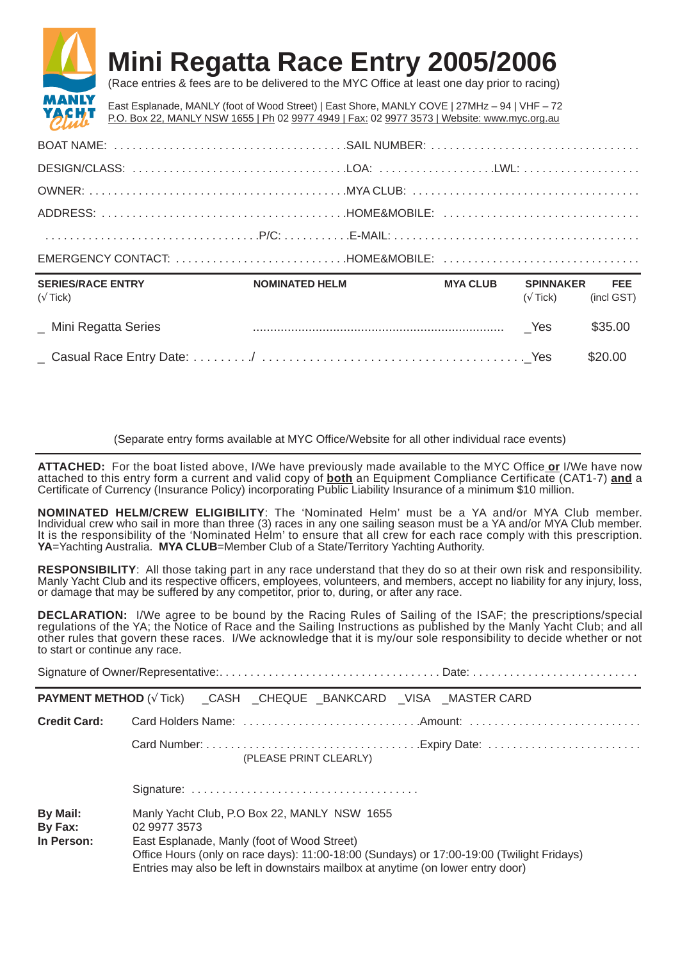## **Mini Regatta Race Entry 2005/2006**



(Race entries & fees are to be delivered to the MYC Office at least one day prior to racing)

East Esplanade, MANLY (foot of Wood Street) | East Shore, MANLY COVE | 27MHz – 94 | VHF – 72 P.O. Box 22, MANLY NSW 1655 | Ph 02 9977 4949 | Fax: 02 9977 3573 | Website: www.myc.org.au

| SERIES/RACE ENTRY NOMINATED HELM |  | MYA CLUB SPINNAKER FEE<br>the contract of the contract of the contract of the contract of the contract of the contract of the contract of |
|----------------------------------|--|-------------------------------------------------------------------------------------------------------------------------------------------|
|                                  |  |                                                                                                                                           |
|                                  |  |                                                                                                                                           |
|                                  |  |                                                                                                                                           |
|                                  |  |                                                                                                                                           |
|                                  |  |                                                                                                                                           |
|                                  |  |                                                                                                                                           |

| $(\sqrt{T}ick)$       | ,,,,,,,,,,,,,,,,,,,,,,,,,,,,, | . | -------------<br>$(\sqrt{T}ick)$ (incl GST) |         |
|-----------------------|-------------------------------|---|---------------------------------------------|---------|
| _ Mini Regatta Series |                               |   | - Yes                                       | \$35.00 |
|                       |                               |   |                                             | \$20.00 |

(Separate entry forms available at MYC Office/Website for all other individual race events)

**ATTACHED:** For the boat listed above, I/We have previously made available to the MYC Office **or** I/We have now attached to this entry form a current and valid copy of **both** an Equipment Compliance Certificate (CAT1-7) **and** a Certificate of Currency (Insurance Policy) incorporating Public Liability Insurance of a minimum \$10 million.

**NOMINATED HELM/CREW ELIGIBILITY**: The 'Nominated Helm' must be a YA and/or MYA Club member. Individual crew who sail in more than three (3) races in any one sailing season must be a YA and/or MYA Club member. It is the responsibility of the 'Nominated Helm' to ensure that all crew for each race comply with this prescription. **YA**=Yachting Australia. **MYA CLUB**=Member Club of a State/Territory Yachting Authority.

**RESPONSIBILITY**: All those taking part in any race understand that they do so at their own risk and responsibility. Manly Yacht Club and its respective officers, employees, volunteers, and members, accept no liability for any injury, loss, or damage that may be suffered by any competitor, prior to, during, or after any race.

**DECLARATION:** I/We agree to be bound by the Racing Rules of Sailing of the ISAF; the prescriptions/special regulations of the YA; the Notice of Race and the Sailing Instructions as published by the Manly Yacht Club; and all other rules that govern these races. I/We acknowledge that it is my/our sole responsibility to decide whether or not to start or continue any race.

|                                   | <b>PAYMENT METHOD</b> ( $\sqrt{T}$ Tick) __ CASH __ CHEQUE __ BANKCARD __ VISA __ MASTER CARD                                                                                                                                                                                               |
|-----------------------------------|---------------------------------------------------------------------------------------------------------------------------------------------------------------------------------------------------------------------------------------------------------------------------------------------|
| <b>Credit Card:</b>               |                                                                                                                                                                                                                                                                                             |
|                                   | (PLEASE PRINT CLEARLY)                                                                                                                                                                                                                                                                      |
|                                   |                                                                                                                                                                                                                                                                                             |
| By Mail:<br>By Fax:<br>In Person: | Manly Yacht Club, P.O Box 22, MANLY NSW 1655<br>02 9977 3573<br>East Esplanade, Manly (foot of Wood Street)<br>Office Hours (only on race days): 11:00-18:00 (Sundays) or 17:00-19:00 (Twilight Fridays)<br>Entries may also be left in downstairs mailbox at anytime (on lower entry door) |